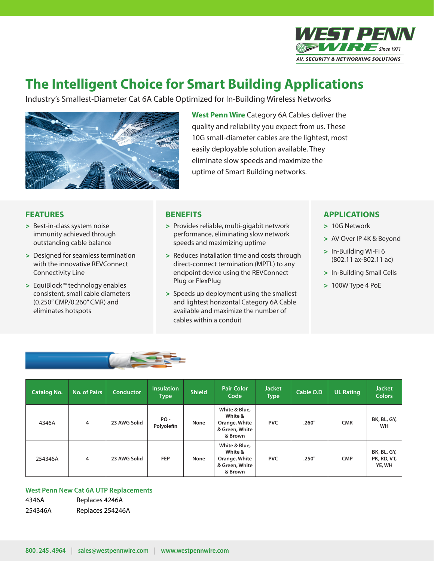

## **The Intelligent Choice for Smart Building Applications**

Industry's Smallest-Diameter Cat 6A Cable Optimized for In-Building Wireless Networks



**West Penn Wire** Category 6A Cables deliver the quality and reliability you expect from us. These 10G small-diameter cables are the lightest, most easily deployable solution available. They eliminate slow speeds and maximize the uptime of Smart Building networks.

## **FEATURES**

- > Best-in-class system noise immunity achieved through outstanding cable balance
- > Designed for seamless termination with the innovative REVConnect Connectivity Line
- > EquiBlock™ technology enables consistent, small cable diameters (0.250" CMP/0.260" CMR) and eliminates hotspots

#### **BENEFITS**

- > Provides reliable, multi-gigabit network performance, eliminating slow network speeds and maximizing uptime
- > Reduces installation time and costs through direct-connect termination (MPTL) to any endpoint device using the REVConnect Plug or FlexPlug
- > Speeds up deployment using the smallest and lightest horizontal Category 6A Cable available and maximize the number of cables within a conduit

## **APPLICATIONS**

- > 10G Network
- > AV Over IP 4K & Beyond
- > In-Building Wi-Fi 6 (802.11 ax-802.11 ac)
- > In-Building Small Cells
- > 100W Type 4 PoE



| <b>Catalog No.</b> | <b>No. of Pairs</b> | <b>Conductor</b> | Insulation<br>Type | <b>Shield</b> | <b>Pair Color</b><br>Code                                              | <b>Jacket</b><br><b>Type</b> | Cable O.D | UL Rating  | <b>Jacket</b><br><b>Colors</b>       |
|--------------------|---------------------|------------------|--------------------|---------------|------------------------------------------------------------------------|------------------------------|-----------|------------|--------------------------------------|
| 4346A              | 4                   | 23 AWG Solid     | PO-<br>Polyolefin  | None          | White & Blue,<br>White &<br>Orange, White<br>& Green, White<br>& Brown | <b>PVC</b>                   | .260"     | <b>CMR</b> | BK, BL, GY,<br><b>WH</b>             |
| 254346A            | 4                   | 23 AWG Solid     | <b>FEP</b>         | None          | White & Blue,<br>White &<br>Orange, White<br>& Green, White<br>& Brown | <b>PVC</b>                   | .250"     | <b>CMP</b> | BK, BL, GY,<br>PK, RD, VT,<br>YE, WH |

#### **West Penn New Cat 6A UTP Replacements**

4346A Replaces 4246A 254346A Replaces 254246A